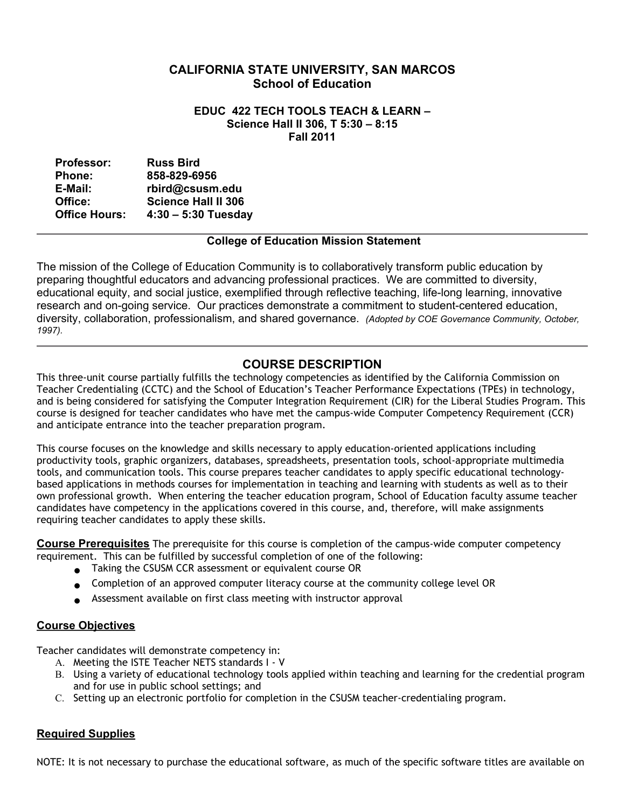# **CALIFORNIA STATE UNIVERSITY, SAN MARCOS School of Education**

#### **Science Hall II 306, T 5:30 – 8:15 EDUC 422 TECH TOOLS TEACH & LEARN – Fall 2011**

| <b>Professor:</b>    | <b>Russ Bird</b>           |
|----------------------|----------------------------|
| <b>Phone:</b>        | 858-829-6956               |
| E-Mail:              | rbird@csusm.edu            |
| Office:              | <b>Science Hall II 306</b> |
| <b>Office Hours:</b> | $4:30 - 5:30$ Tuesday      |

## **College of Education Mission Statement**

 The mission of the College of Education Community is to collaboratively transform public education by preparing thoughtful educators and advancing professional practices. We are committed to diversity, diversity, collaboration, professionalism, and shared governance. *(Adopted by COE Governance Community, October,*  educational equity, and social justice, exemplified through reflective teaching, life-long learning, innovative research and on-going service. Our practices demonstrate a commitment to student-centered education, *1997).* 

# **COURSE DESCRIPTION**

 This three-unit course partially fulfills the technology competencies as identified by the California Commission on Teacher Credentialing (CCTC) and the School of Education's Teacher Performance Expectations (TPEs) in technology, and is being considered for satisfying the Computer Integration Requirement (CIR) for the Liberal Studies Program. This course is designed for teacher candidates who have met the campus-wide Computer Competency Requirement (CCR) and anticipate entrance into the teacher preparation program.

 This course focuses on the knowledge and skills necessary to apply education-oriented applications including productivity tools, graphic organizers, databases, spreadsheets, presentation tools, school-appropriate multimedia tools, and communication tools. This course prepares teacher candidates to apply specific educational technology- based applications in methods courses for implementation in teaching and learning with students as well as to their own professional growth. When entering the teacher education program, School of Education faculty assume teacher candidates have competency in the applications covered in this course, and, therefore, will make assignments requiring teacher candidates to apply these skills.

 **Course Prerequisites** The prerequisite for this course is completion of the campus-wide computer competency requirement. This can be fulfilled by successful completion of one of the following:

- **●** Taking the CSUSM CCR assessment or equivalent course OR
- **●** Completion of an approved computer literacy course at the community college level OR
- **●** Assessment available on first class meeting with instructor approval

## **Course Objectives**

Teacher candidates will demonstrate competency in:

- A. Meeting the ISTE Teacher NETS standards I V
- B. Using a variety of educational technology tools applied within teaching and learning for the credential program and for use in public school settings; and
- C. Setting up an electronic portfolio for completion in the CSUSM teacher-credentialing program.

## **Required Supplies**

NOTE: It is not necessary to purchase the educational software, as much of the specific software titles are available on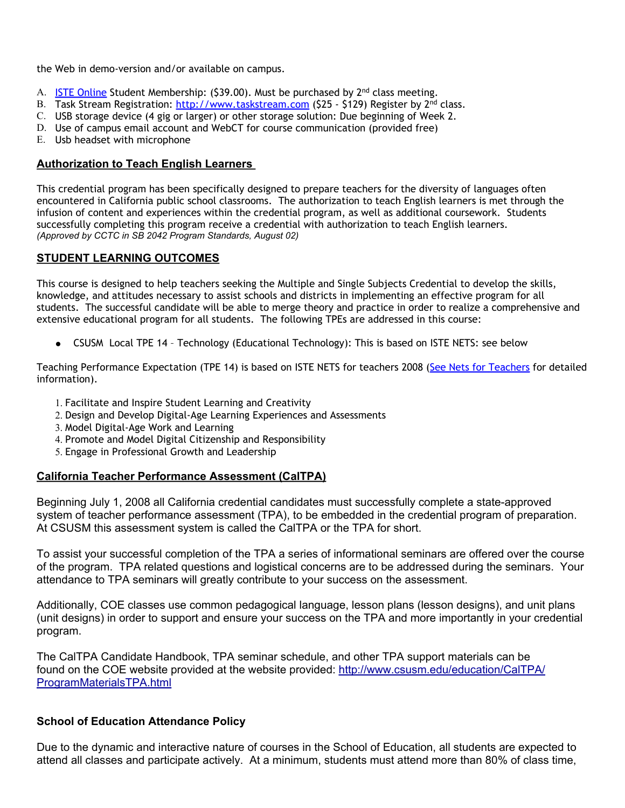the Web in demo-version and/or available on campus.

- A. [ISTE Online](http://www.google.com/url?q=http%3A%2F%2Fwww.iste.org&sa=D&sntz=1&usg=AFQjCNF6stTT3JrR7_WM904Vk5P6PItkKg) Student Membership: (\$39.00). Must be purchased by 2<sup>nd</sup> class meeting.
- B. Task Stream Registration: <u>http://www.taskstream.com</u> (\$25 \$129) Register by 2<sup>nd</sup> class.
- C. USB storage device (4 gig or larger) or other storage solution: Due beginning of Week 2.
- D. Use of campus email account and WebCT for course communication (provided free)
- E. Usb headset with microphone

## **Authorization to Teach English Learners**

 This credential program has been specifically designed to prepare teachers for the diversity of languages often encountered in California public school classrooms. The authorization to teach English learners is met through the infusion of content and experiences within the credential program, as well as additional coursework. Students successfully completing this program receive a credential with authorization to teach English learners.  *(Approved by CCTC in SB 2042 Program Standards, August 02)* 

## **STUDENT LEARNING OUTCOMES**

 This course is designed to help teachers seeking the Multiple and Single Subjects Credential to develop the skills, knowledge, and attitudes necessary to assist schools and districts in implementing an effective program for all students. The successful candidate will be able to merge theory and practice in order to realize a comprehensive and extensive educational program for all students. The following TPEs are addressed in this course:

● CSUSM Local TPE 14 - Technology (Educational Technology): This is based on ISTE NETS: see below

Teaching Performance Expectation (TPE 14) is based on ISTE NETS for teachers 2008 (<u>See Nets for Teachers</u> for detailed information).

- 1. Facilitate and Inspire Student Learning and Creativity
- 2. Design and Develop Digital-Age Learning Experiences and Assessments
- 3. Model Digital-Age Work and Learning
- 4. Promote and Model Digital Citizenship and Responsibility
- 5. Engage in Professional Growth and Leadership

#### **California Teacher Performance Assessment (CalTPA)**

system of teacher performance assessment (TPA), to be embedded in the credential program of preparation.<br>At CSUSM this assessment system is called the CalTPA or the TPA for short. Beginning July 1, 2008 all California credential candidates must successfully complete a state-approved

 of the program. TPA related questions and logistical concerns are to be addressed during the seminars. Your To assist your successful completion of the TPA a series of informational seminars are offered over the course attendance to TPA seminars will greatly contribute to your success on the assessment.

 Additionally, COE classes use common pedagogical language, lesson plans (lesson designs), and unit plans (unit designs) in order to support and ensure your success on the TPA and more importantly in your credential program.

 The CalTPA Candidate Handbook, TPA seminar schedule, and other TPA support materials can be found on the COE website provided at the website provided: [http://www.csusm.edu/education/CalTPA/](http://www.csusm.edu/education/CalTPA/ProgramMaterialsTPA.html) [ProgramMaterialsTPA.html](http://www.csusm.edu/education/CalTPA/ProgramMaterialsTPA.html)

#### **School of Education Attendance Policy**

 attend all classes and participate actively. At a minimum, students must attend more than 80% of class time, Due to the dynamic and interactive nature of courses in the School of Education, all students are expected to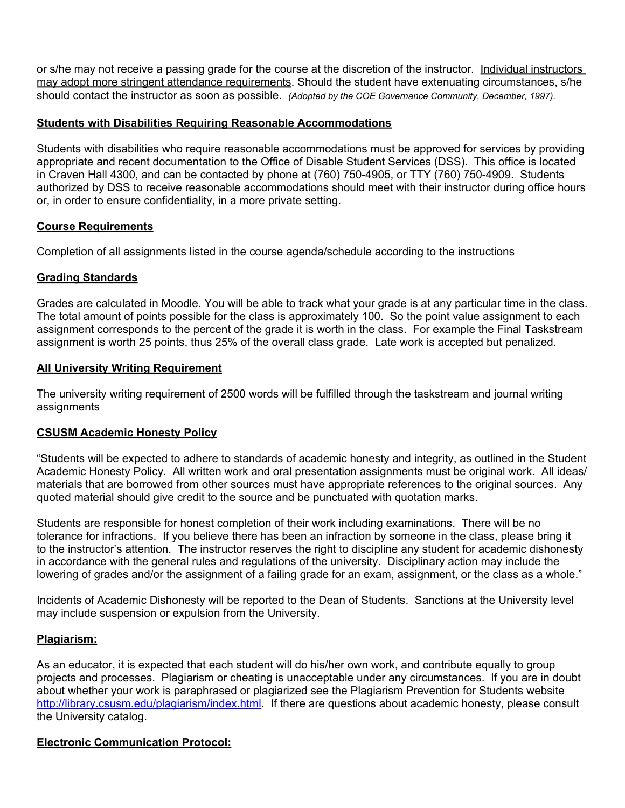or s/he may not receive a passing grade for the course at the discretion of the instructor. Individual instructors should contact the instructor as soon as possible. *(Adopted by the COE Governance Community, December, 1997).*  may adopt more stringent attendance requirements. Should the student have extenuating circumstances, s/he

## **Students with Disabilities Requiring Reasonable Accommodations**

 appropriate and recent documentation to the Office of Disable Student Services (DSS). This office is located in Craven Hall 4300, and can be contacted by phone at (760) 750-4905, or TTY (760) 750-4909. Students Students with disabilities who require reasonable accommodations must be approved for services by providing authorized by DSS to receive reasonable accommodations should meet with their instructor during office hours or, in order to ensure confidentiality, in a more private setting.

## **Course Requirements**

Completion of all assignments listed in the course agenda/schedule according to the instructions

## **Grading Standards**

Grades are calculated in Moodle. You will be able to track what your grade is at any particular time in the class. Grades are calculated in Moodle. You will be able to track what your grade is at any particular time in the class.<br>The total amount of points possible for the class is approximately 100. So the point value assignment to e assignment corresponds to the percent of the grade it is worth in the class. For example the Final Taskstream assignment is worth 25 points, thus 25% of the overall class grade. Late work is accepted but penalized.

## **All University Writing Requirement**

 The university writing requirement of 2500 words will be fulfilled through the taskstream and journal writing assignments

#### **CSUSM Academic Honesty Policy**

 "Students will be expected to adhere to standards of academic honesty and integrity, as outlined in the Student materials that are borrowed from other sources must have appropriate references to the original sources. Any quoted material should give credit to the source and be punctuated with quotation marks. Academic Honesty Policy. All written work and oral presentation assignments must be original work. All ideas/

 Students are responsible for honest completion of their work including examinations. There will be no in accordance with the general rules and regulations of the university. Disciplinary action may include the tolerance for infractions. If you believe there has been an infraction by someone in the class, please bring it to the instructor's attention. The instructor reserves the right to discipline any student for academic dishonesty lowering of grades and/or the assignment of a failing grade for an exam, assignment, or the class as a whole."

 Incidents of Academic Dishonesty will be reported to the Dean of Students. Sanctions at the University level may include suspension or expulsion from the University.

#### **Plagiarism:**

 projects and processes. Plagiarism or cheating is unacceptable under any circumstances. If you are in doubt about whether your work is paraphrased or plagiarized see the Plagiarism Prevention for Students website [http://library.csusm.edu/plagiarism/index.html](http://www.google.com/url?q=http%3A%2F%2Flibrary.csusm.edu%2Fplagiarism%2Findex.html&sa=D&sntz=1&usg=AFQjCNFbEH5PnuYzdzB0te4RMgTD05u73g)</u>. If there are questions about academic honesty, please consult As an educator, it is expected that each student will do his/her own work, and contribute equally to group the University catalog.

#### **Electronic Communication Protocol:**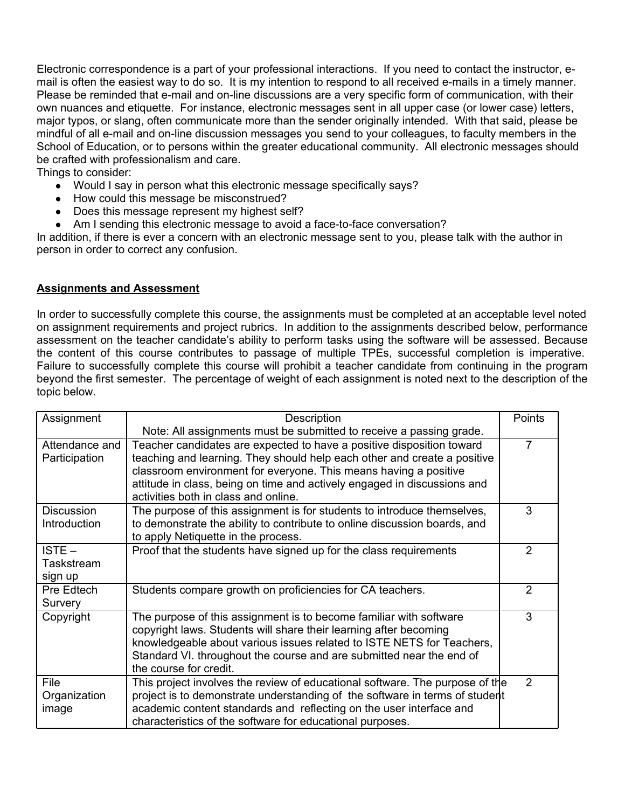Electronic correspondence is a part of your professional interactions. If you need to contact the instructor, e- mail is often the easiest way to do so. It is my intention to respond to all received e-mails in a timely manner. Please be reminded that e-mail and on-line discussions are a very specific form of communication, with their own nuances and etiquette. For instance, electronic messages sent in all upper case (or lower case) letters, major typos, or slang, often communicate more than the sender originally intended. With that said, please be School of Education, or to persons within the greater educational community. All electronic messages should mindful of all e-mail and on-line discussion messages you send to your colleagues, to faculty members in the be crafted with professionalism and care.

Things to consider:

- Would I say in person what this electronic message specifically says?
- How could this message be misconstrued?
- Does this message represent my highest self?
- Am I sending this electronic message to avoid a face-to-face conversation?

 In addition, if there is ever a concern with an electronic message sent to you, please talk with the author in person in order to correct any confusion.

## **Assignments and Assessment**

 In order to successfully complete this course, the assignments must be completed at an acceptable level noted on assignment requirements and project rubrics. In addition to the assignments described below, performance assessment on the teacher candidate's ability to perform tasks using the software will be assessed. Because the content of this course contributes to passage of multiple TPEs, successful completion is imperative. Failure to successfully complete this course will prohibit a teacher candidate from continuing in the program beyond the first semester. The percentage of weight of each assignment is noted next to the description of the topic below.

| Assignment                        | Description                                                                                                                                                                                                                                                                                                                               | Points         |
|-----------------------------------|-------------------------------------------------------------------------------------------------------------------------------------------------------------------------------------------------------------------------------------------------------------------------------------------------------------------------------------------|----------------|
|                                   | Note: All assignments must be submitted to receive a passing grade.                                                                                                                                                                                                                                                                       |                |
| Attendance and<br>Participation   | Teacher candidates are expected to have a positive disposition toward<br>teaching and learning. They should help each other and create a positive<br>classroom environment for everyone. This means having a positive<br>attitude in class, being on time and actively engaged in discussions and<br>activities both in class and online. | 7              |
| <b>Discussion</b><br>Introduction | The purpose of this assignment is for students to introduce themselves,<br>to demonstrate the ability to contribute to online discussion boards, and<br>to apply Netiquette in the process.                                                                                                                                               | 3              |
| $ISTE -$<br>Taskstream<br>sign up | Proof that the students have signed up for the class requirements                                                                                                                                                                                                                                                                         | 2              |
| Pre Edtech<br>Survery             | Students compare growth on proficiencies for CA teachers.                                                                                                                                                                                                                                                                                 | $\overline{2}$ |
| Copyright                         | The purpose of this assignment is to become familiar with software<br>copyright laws. Students will share their learning after becoming<br>knowledgeable about various issues related to ISTE NETS for Teachers,<br>Standard VI. throughout the course and are submitted near the end of<br>the course for credit.                        | 3              |
| File<br>Organization<br>image     | This project involves the review of educational software. The purpose of the<br>project is to demonstrate understanding of the software in terms of student<br>academic content standards and reflecting on the user interface and<br>characteristics of the software for educational purposes.                                           | 2              |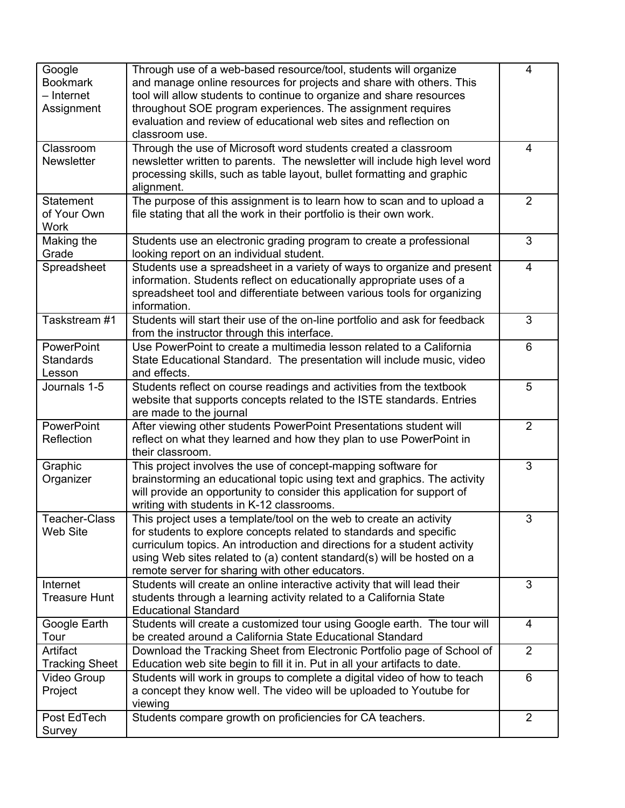| Google                | Through use of a web-based resource/tool, students will organize            | 4              |
|-----------------------|-----------------------------------------------------------------------------|----------------|
| <b>Bookmark</b>       | and manage online resources for projects and share with others. This        |                |
| - Internet            | tool will allow students to continue to organize and share resources        |                |
|                       | throughout SOE program experiences. The assignment requires                 |                |
| Assignment            |                                                                             |                |
|                       | evaluation and review of educational web sites and reflection on            |                |
|                       | classroom use.                                                              |                |
| Classroom             | Through the use of Microsoft word students created a classroom              | 4              |
| <b>Newsletter</b>     | newsletter written to parents. The newsletter will include high level word  |                |
|                       | processing skills, such as table layout, bullet formatting and graphic      |                |
|                       | alignment.                                                                  |                |
| <b>Statement</b>      | The purpose of this assignment is to learn how to scan and to upload a      | $\overline{2}$ |
| of Your Own           | file stating that all the work in their portfolio is their own work.        |                |
| <b>Work</b>           |                                                                             |                |
| Making the            | Students use an electronic grading program to create a professional         | 3              |
| Grade                 | looking report on an individual student.                                    |                |
| Spreadsheet           | Students use a spreadsheet in a variety of ways to organize and present     | 4              |
|                       | information. Students reflect on educationally appropriate uses of a        |                |
|                       | spreadsheet tool and differentiate between various tools for organizing     |                |
|                       | information.                                                                |                |
| Taskstream #1         | Students will start their use of the on-line portfolio and ask for feedback | 3              |
|                       | from the instructor through this interface.                                 |                |
|                       | Use PowerPoint to create a multimedia lesson related to a California        | 6              |
| PowerPoint            |                                                                             |                |
| <b>Standards</b>      | State Educational Standard. The presentation will include music, video      |                |
| Lesson                | and effects.                                                                |                |
| Journals 1-5          | Students reflect on course readings and activities from the textbook        | 5              |
|                       | website that supports concepts related to the ISTE standards. Entries       |                |
|                       | are made to the journal                                                     |                |
| PowerPoint            | After viewing other students PowerPoint Presentations student will          | $\overline{2}$ |
| Reflection            | reflect on what they learned and how they plan to use PowerPoint in         |                |
|                       | their classroom.                                                            |                |
| Graphic               | This project involves the use of concept-mapping software for               | 3              |
| Organizer             | brainstorming an educational topic using text and graphics. The activity    |                |
|                       | will provide an opportunity to consider this application for support of     |                |
|                       | writing with students in K-12 classrooms.                                   |                |
| Teacher-Class         | This project uses a template/tool on the web to create an activity          | 3              |
| Web Site              | for students to explore concepts related to standards and specific          |                |
|                       | curriculum topics. An introduction and directions for a student activity    |                |
|                       | using Web sites related to (a) content standard(s) will be hosted on a      |                |
|                       | remote server for sharing with other educators.                             |                |
| Internet              | Students will create an online interactive activity that will lead their    | 3              |
| <b>Treasure Hunt</b>  | students through a learning activity related to a California State          |                |
|                       | <b>Educational Standard</b>                                                 |                |
| Google Earth          | Students will create a customized tour using Google earth. The tour will    | $\overline{4}$ |
|                       |                                                                             |                |
| Tour                  | be created around a California State Educational Standard                   |                |
| Artifact              | Download the Tracking Sheet from Electronic Portfolio page of School of     | 2              |
| <b>Tracking Sheet</b> | Education web site begin to fill it in. Put in all your artifacts to date.  |                |
| Video Group           | Students will work in groups to complete a digital video of how to teach    | 6              |
| Project               | a concept they know well. The video will be uploaded to Youtube for         |                |
|                       | viewing                                                                     |                |
| Post EdTech           | Students compare growth on proficiencies for CA teachers.                   | 2              |
| Survey                |                                                                             |                |